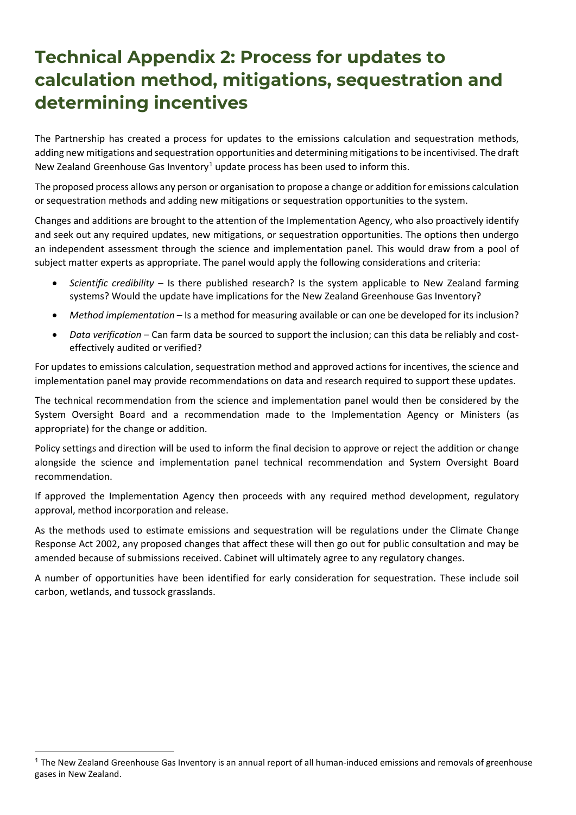## **Technical Appendix 2: Process for updates to calculation method, mitigations, sequestration and determining incentives**

The Partnership has created a process for updates to the emissions calculation and sequestration methods, adding new mitigations and sequestration opportunities and determining mitigations to be incentivised. The draft New Zealand Greenhouse Gas Inventory<sup>[1](#page-0-0)</sup> update process has been used to inform this.

The proposed process allows any person or organisation to propose a change or addition for emissions calculation or sequestration methods and adding new mitigations or sequestration opportunities to the system.

Changes and additions are brought to the attention of the Implementation Agency, who also proactively identify and seek out any required updates, new mitigations, or sequestration opportunities. The options then undergo an independent assessment through the science and implementation panel. This would draw from a pool of subject matter experts as appropriate. The panel would apply the following considerations and criteria:

- *Scientific credibility* Is there published research? Is the system applicable to New Zealand farming systems? Would the update have implications for the New Zealand Greenhouse Gas Inventory?
- *Method implementation* Is a method for measuring available or can one be developed for its inclusion?
- *Data verification* Can farm data be sourced to support the inclusion; can this data be reliably and costeffectively audited or verified?

For updates to emissions calculation, sequestration method and approved actions for incentives, the science and implementation panel may provide recommendations on data and research required to support these updates.

The technical recommendation from the science and implementation panel would then be considered by the System Oversight Board and a recommendation made to the Implementation Agency or Ministers (as appropriate) for the change or addition.

Policy settings and direction will be used to inform the final decision to approve or reject the addition or change alongside the science and implementation panel technical recommendation and System Oversight Board recommendation.

If approved the Implementation Agency then proceeds with any required method development, regulatory approval, method incorporation and release.

As the methods used to estimate emissions and sequestration will be regulations under the Climate Change Response Act 2002, any proposed changes that affect these will then go out for public consultation and may be amended because of submissions received. Cabinet will ultimately agree to any regulatory changes.

A number of opportunities have been identified for early consideration for sequestration. These include soil carbon, wetlands, and tussock grasslands.

<span id="page-0-0"></span> $1$  The New Zealand Greenhouse Gas Inventory is an annual report of all human-induced emissions and removals of greenhouse gases in New Zealand.